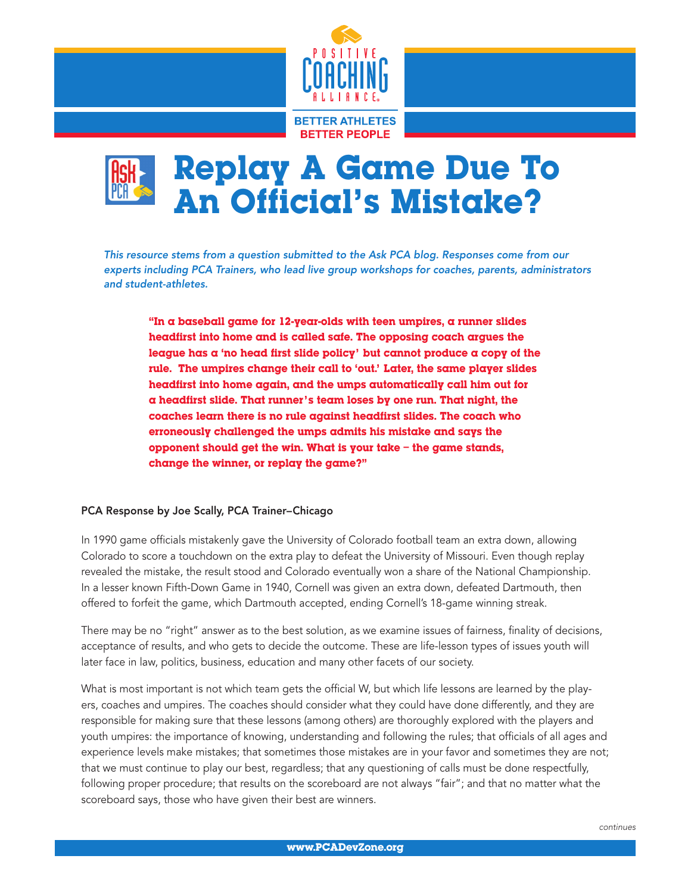



*This resource stems from a question submitted to the Ask PCA blog. Responses come from our experts including PCA Trainers, who lead live group workshops for coaches, parents, administrators and student-athletes.*

"In a baseball game for  $12$ -year-olds with teen umpires, a runner slides headfirst into home and is called safe. The opposing coach argues the league has a 'no head first slide policy' but cannot produce a copy of the rule. The umpires change their call to 'out.' Later, the same player slides headfirst into home again, and the umps automatically call him out for a headfirst slide. That runner's team loses by one run. That night, the coaches learn there is no rule against headfirst slides. The coach who erroneously challenged the umps admits his mistake and says the opponent should get the win. What is your take – the game stands, change the winner, or replay the game?"

## PCA Response by Joe Scally, PCA Trainer–Chicago

In 1990 game officials mistakenly gave the University of Colorado football team an extra down, allowing Colorado to score a touchdown on the extra play to defeat the University of Missouri. Even though replay revealed the mistake, the result stood and Colorado eventually won a share of the National Championship. In a lesser known Fifth-Down Game in 1940, Cornell was given an extra down, defeated Dartmouth, then offered to forfeit the game, which Dartmouth accepted, ending Cornell's 18-game winning streak.

There may be no "right" answer as to the best solution, as we examine issues of fairness, finality of decisions, acceptance of results, and who gets to decide the outcome. These are life-lesson types of issues youth will later face in law, politics, business, education and many other facets of our society.

What is most important is not which team gets the official W, but which life lessons are learned by the players, coaches and umpires. The coaches should consider what they could have done differently, and they are responsible for making sure that these lessons (among others) are thoroughly explored with the players and youth umpires: the importance of knowing, understanding and following the rules; that officials of all ages and experience levels make mistakes; that sometimes those mistakes are in your favor and sometimes they are not; that we must continue to play our best, regardless; that any questioning of calls must be done respectfully, following proper procedure; that results on the scoreboard are not always "fair"; and that no matter what the scoreboard says, those who have given their best are winners.